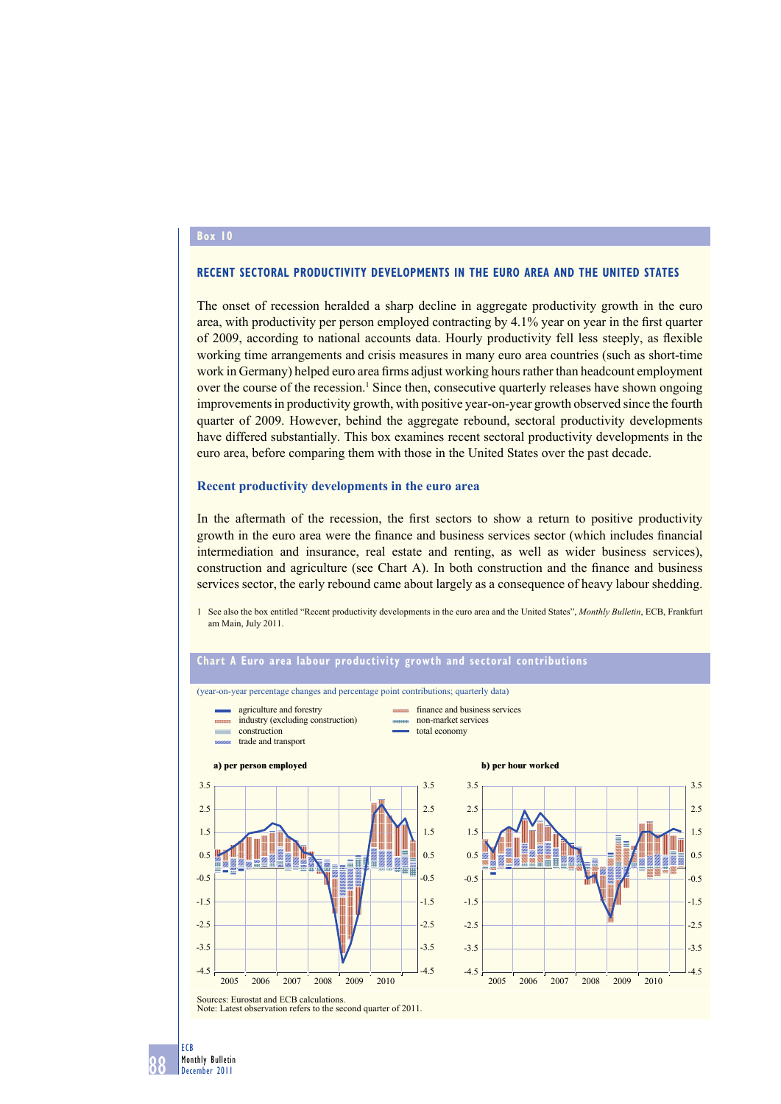#### **Box**

## **RECENT SECTORAL PRODUCTIVITY DEVELOPMENTS IN THE EURO AREA AND THE UNITED STATES**

The onset of recession heralded a sharp decline in aggregate productivity growth in the euro area, with productivity per person employed contracting by 4.1% year on year in the first quarter of 2009, according to national accounts data. Hourly productivity fell less steeply, as flexible working time arrangements and crisis measures in many euro area countries (such as short-time work in Germany) helped euro area firms adjust working hours rather than headcount employment over the course of the recession.<sup>1</sup> Since then, consecutive quarterly releases have shown ongoing improvements in productivity growth, with positive year-on-year growth observed since the fourth quarter of 2009. However, behind the aggregate rebound, sectoral productivity developments have differed substantially. This box examines recent sectoral productivity developments in the euro area, before comparing them with those in the United States over the past decade.

#### **Recent productivity developments in the euro area**

In the aftermath of the recession, the first sectors to show a return to positive productivity growth in the euro area were the finance and business services sector (which includes financial intermediation and insurance, real estate and renting, as well as wider business services), construction and agriculture (see Chart A). In both construction and the finance and business services sector, the early rebound came about largely as a consequence of heavy labour shedding.

1 See also the box entitled "Recent productivity developments in the euro area and the United States", *Monthly Bulletin*, ECB, Frankfurt am Main, July 2011.



# 88 December 2011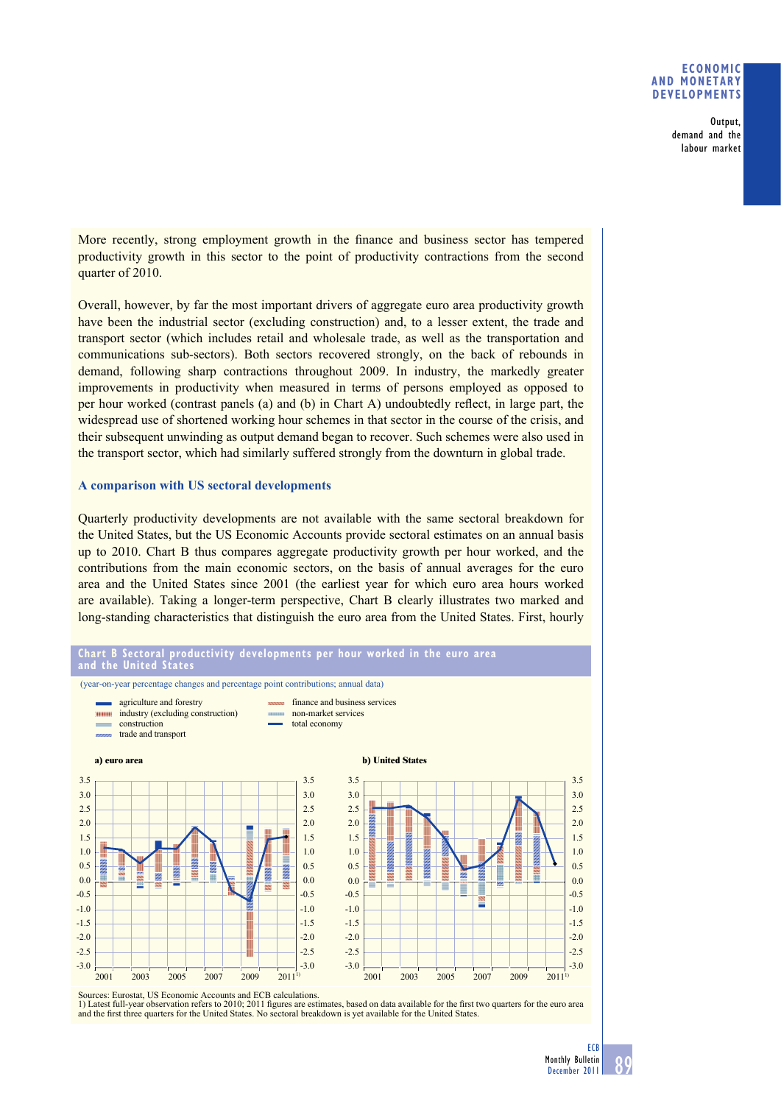## **ECONOMIC AND MONETARY DEVELOPMENTS**

Output, demand and the labour market

More recently, strong employment growth in the finance and business sector has tempered productivity growth in this sector to the point of productivity contractions from the second quarter of 2010.

Overall, however, by far the most important drivers of aggregate euro area productivity growth have been the industrial sector (excluding construction) and, to a lesser extent, the trade and transport sector (which includes retail and wholesale trade, as well as the transportation and communications sub-sectors). Both sectors recovered strongly, on the back of rebounds in demand, following sharp contractions throughout 2009. In industry, the markedly greater improvements in productivity when measured in terms of persons employed as opposed to per hour worked (contrast panels (a) and (b) in Chart A) undoubtedly reflect, in large part, the widespread use of shortened working hour schemes in that sector in the course of the crisis, and their subsequent unwinding as output demand began to recover. Such schemes were also used in the transport sector, which had similarly suffered strongly from the downturn in global trade.

## **A comparison with US sectoral developments**

Quarterly productivity developments are not available with the same sectoral breakdown for the United States, but the US Economic Accounts provide sectoral estimates on an annual basis up to 2010. Chart B thus compares aggregate productivity growth per hour worked, and the contributions from the main economic sectors, on the basis of annual averages for the euro area and the United States since 2001 (the earliest year for which euro area hours worked are available). Taking a longer-term perspective, Chart B clearly illustrates two marked and long-standing characteristics that distinguish the euro area from the United States. First, hourly



Sources: Eurostat, US Economic Accounts and ECB calculations.

1) Latest full-year observation refers to 2010; 2011 figures are estimates, based on data available for the first two quarters for the euro area and the first three quarters for the United States. No sectoral breakdown is yet available for the United States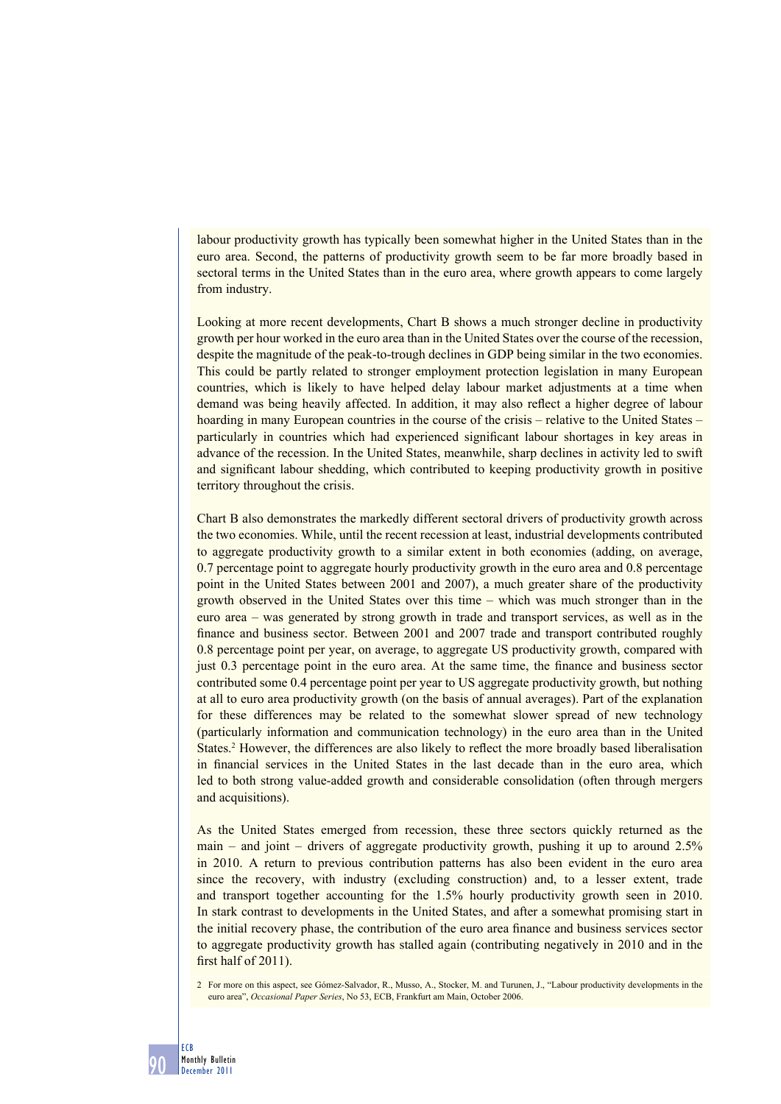labour productivity growth has typically been somewhat higher in the United States than in the euro area. Second, the patterns of productivity growth seem to be far more broadly based in sectoral terms in the United States than in the euro area, where growth appears to come largely from industry.

Looking at more recent developments, Chart B shows a much stronger decline in productivity growth per hour worked in the euro area than in the United States over the course of the recession, despite the magnitude of the peak-to-trough declines in GDP being similar in the two economies. This could be partly related to stronger employment protection legislation in many European countries, which is likely to have helped delay labour market adjustments at a time when demand was being heavily affected. In addition, it may also reflect a higher degree of labour hoarding in many European countries in the course of the crisis – relative to the United States – particularly in countries which had experienced significant labour shortages in key areas in advance of the recession. In the United States, meanwhile, sharp declines in activity led to swift and significant labour shedding, which contributed to keeping productivity growth in positive territory throughout the crisis.

Chart B also demonstrates the markedly different sectoral drivers of productivity growth across the two economies. While, until the recent recession at least, industrial developments contributed to aggregate productivity growth to a similar extent in both economies (adding, on average, 0.7 percentage point to aggregate hourly productivity growth in the euro area and 0.8 percentage point in the United States between 2001 and 2007), a much greater share of the productivity growth observed in the United States over this time – which was much stronger than in the euro area – was generated by strong growth in trade and transport services, as well as in the finance and business sector. Between 2001 and 2007 trade and transport contributed roughly 0.8 percentage point per year, on average, to aggregate US productivity growth, compared with just 0.3 percentage point in the euro area. At the same time, the finance and business sector contributed some 0.4 percentage point per year to US aggregate productivity growth, but nothing at all to euro area productivity growth (on the basis of annual averages). Part of the explanation for these differences may be related to the somewhat slower spread of new technology (particularly information and communication technology) in the euro area than in the United States.<sup>2</sup> However, the differences are also likely to reflect the more broadly based liberalisation in financial services in the United States in the last decade than in the euro area, which led to both strong value-added growth and considerable consolidation (often through mergers and acquisitions).

As the United States emerged from recession, these three sectors quickly returned as the main – and joint – drivers of aggregate productivity growth, pushing it up to around  $2.5\%$ in 2010. A return to previous contribution patterns has also been evident in the euro area since the recovery, with industry (excluding construction) and, to a lesser extent, trade and transport together accounting for the 1.5% hourly productivity growth seen in 2010. In stark contrast to developments in the United States, and after a somewhat promising start in the initial recovery phase, the contribution of the euro area finance and business services sector to aggregate productivity growth has stalled again (contributing negatively in 2010 and in the first half of  $2011$ ).

2 For more on this aspect, see Gómez-Salvador, R., Musso, A., Stocker, M. and Turunen, J., "Labour productivity developments in the euro area", *Occasional Paper Series*, No 53, ECB, Frankfurt am Main, October 2006.